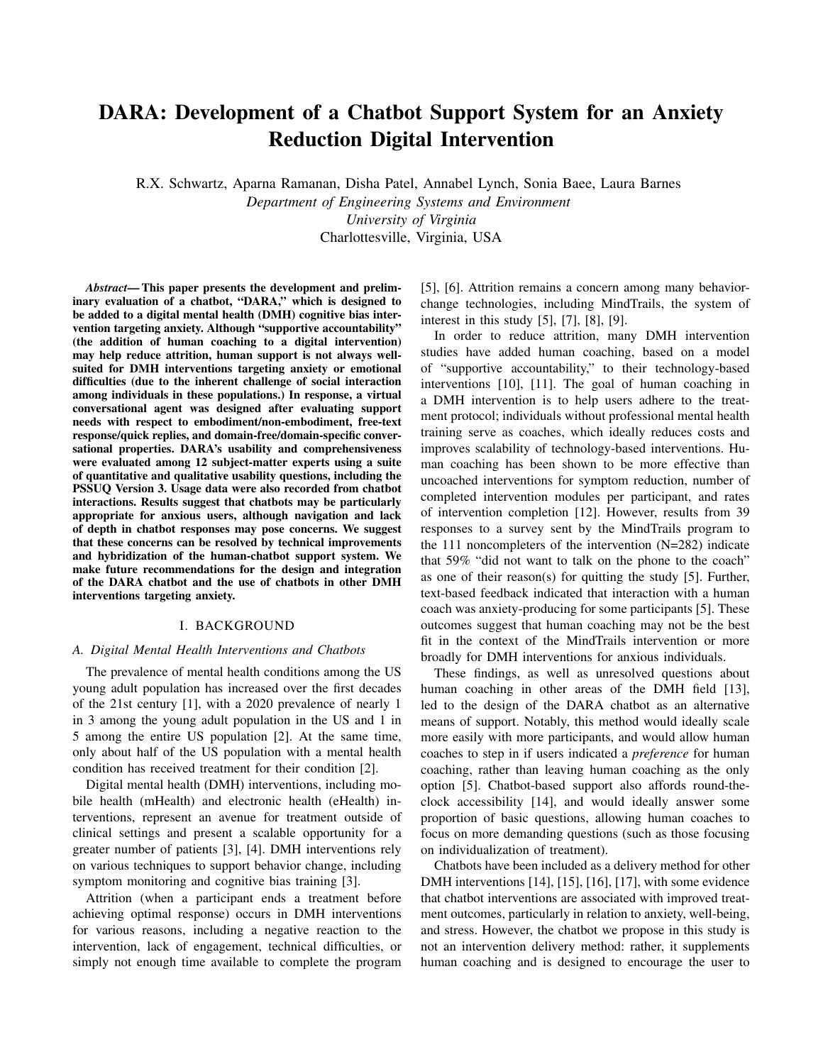# DARA: Development of a Chatbot Support System for an Anxiety Reduction Digital Intervention

R.X. Schwartz, Aparna Ramanan, Disha Patel, Annabel Lynch, Sonia Baee, Laura Barnes

*Department of Engineering Systems and Environment University of Virginia* Charlottesville, Virginia, USA

*Abstract*— This paper presents the development and preliminary evaluation of a chatbot, "DARA," which is designed to be added to a digital mental health (DMH) cognitive bias intervention targeting anxiety. Although "supportive accountability" (the addition of human coaching to a digital intervention) may help reduce attrition, human support is not always wellsuited for DMH interventions targeting anxiety or emotional difficulties (due to the inherent challenge of social interaction among individuals in these populations.) In response, a virtual conversational agent was designed after evaluating support needs with respect to embodiment/non-embodiment, free-text response/quick replies, and domain-free/domain-specific conversational properties. DARA's usability and comprehensiveness were evaluated among 12 subject-matter experts using a suite of quantitative and qualitative usability questions, including the PSSUQ Version 3. Usage data were also recorded from chatbot interactions. Results suggest that chatbots may be particularly appropriate for anxious users, although navigation and lack of depth in chatbot responses may pose concerns. We suggest that these concerns can be resolved by technical improvements and hybridization of the human-chatbot support system. We make future recommendations for the design and integration of the DARA chatbot and the use of chatbots in other DMH interventions targeting anxiety.

#### I. BACKGROUND

#### *A. Digital Mental Health Interventions and Chatbots*

The prevalence of mental health conditions among the US young adult population has increased over the first decades of the 21st century [1], with a 2020 prevalence of nearly 1 in 3 among the young adult population in the US and 1 in 5 among the entire US population [2]. At the same time, only about half of the US population with a mental health condition has received treatment for their condition [2].

Digital mental health (DMH) interventions, including mobile health (mHealth) and electronic health (eHealth) interventions, represent an avenue for treatment outside of clinical settings and present a scalable opportunity for a greater number of patients [3], [4]. DMH interventions rely on various techniques to support behavior change, including symptom monitoring and cognitive bias training [3].

Attrition (when a participant ends a treatment before achieving optimal response) occurs in DMH interventions for various reasons, including a negative reaction to the intervention, lack of engagement, technical difficulties, or simply not enough time available to complete the program

[5], [6]. Attrition remains a concern among many behaviorchange technologies, including MindTrails, the system of interest in this study [5], [7], [8], [9].

In order to reduce attrition, many DMH intervention studies have added human coaching, based on a model of "supportive accountability," to their technology-based interventions [10], [11]. The goal of human coaching in a DMH intervention is to help users adhere to the treatment protocol; individuals without professional mental health training serve as coaches, which ideally reduces costs and improves scalability of technology-based interventions. Human coaching has been shown to be more effective than uncoached interventions for symptom reduction, number of completed intervention modules per participant, and rates of intervention completion [12]. However, results from 39 responses to a survey sent by the MindTrails program to the 111 noncompleters of the intervention (N=282) indicate that 59% "did not want to talk on the phone to the coach" as one of their reason(s) for quitting the study [5]. Further, text-based feedback indicated that interaction with a human coach was anxiety-producing for some participants [5]. These outcomes suggest that human coaching may not be the best fit in the context of the MindTrails intervention or more broadly for DMH interventions for anxious individuals.

These findings, as well as unresolved questions about human coaching in other areas of the DMH field [13], led to the design of the DARA chatbot as an alternative means of support. Notably, this method would ideally scale more easily with more participants, and would allow human coaches to step in if users indicated a *preference* for human coaching, rather than leaving human coaching as the only option [5]. Chatbot-based support also affords round-theclock accessibility [14], and would ideally answer some proportion of basic questions, allowing human coaches to focus on more demanding questions (such as those focusing on individualization of treatment).

Chatbots have been included as a delivery method for other DMH interventions [14], [15], [16], [17], with some evidence that chatbot interventions are associated with improved treatment outcomes, particularly in relation to anxiety, well-being, and stress. However, the chatbot we propose in this study is not an intervention delivery method: rather, it supplements human coaching and is designed to encourage the user to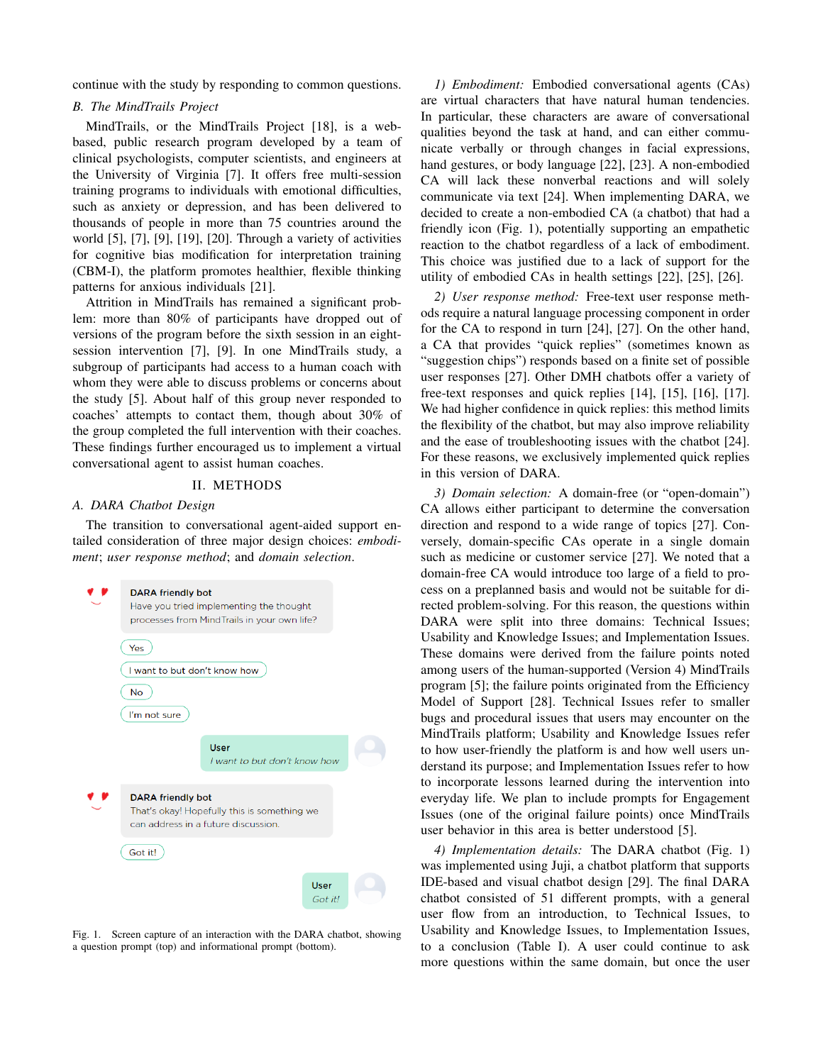continue with the study by responding to common questions.

## *B. The MindTrails Project*

MindTrails, or the MindTrails Project [18], is a webbased, public research program developed by a team of clinical psychologists, computer scientists, and engineers at the University of Virginia [7]. It offers free multi-session training programs to individuals with emotional difficulties, such as anxiety or depression, and has been delivered to thousands of people in more than 75 countries around the world [5], [7], [9], [19], [20]. Through a variety of activities for cognitive bias modification for interpretation training (CBM-I), the platform promotes healthier, flexible thinking patterns for anxious individuals [21].

Attrition in MindTrails has remained a significant problem: more than 80% of participants have dropped out of versions of the program before the sixth session in an eightsession intervention [7], [9]. In one MindTrails study, a subgroup of participants had access to a human coach with whom they were able to discuss problems or concerns about the study [5]. About half of this group never responded to coaches' attempts to contact them, though about 30% of the group completed the full intervention with their coaches. These findings further encouraged us to implement a virtual conversational agent to assist human coaches.

#### II. METHODS

#### *A. DARA Chatbot Design*

The transition to conversational agent-aided support entailed consideration of three major design choices: *embodiment*; *user response method*; and *domain selection*.



Fig. 1. Screen capture of an interaction with the DARA chatbot, showing a question prompt (top) and informational prompt (bottom).

*1) Embodiment:* Embodied conversational agents (CAs) are virtual characters that have natural human tendencies. In particular, these characters are aware of conversational qualities beyond the task at hand, and can either communicate verbally or through changes in facial expressions, hand gestures, or body language [22], [23]. A non-embodied CA will lack these nonverbal reactions and will solely communicate via text [24]. When implementing DARA, we decided to create a non-embodied CA (a chatbot) that had a friendly icon (Fig. 1), potentially supporting an empathetic reaction to the chatbot regardless of a lack of embodiment. This choice was justified due to a lack of support for the utility of embodied CAs in health settings [22], [25], [26].

*2) User response method:* Free-text user response methods require a natural language processing component in order for the CA to respond in turn [24], [27]. On the other hand, a CA that provides "quick replies" (sometimes known as "suggestion chips") responds based on a finite set of possible user responses [27]. Other DMH chatbots offer a variety of free-text responses and quick replies [14], [15], [16], [17]. We had higher confidence in quick replies: this method limits the flexibility of the chatbot, but may also improve reliability and the ease of troubleshooting issues with the chatbot [24]. For these reasons, we exclusively implemented quick replies in this version of DARA.

*3) Domain selection:* A domain-free (or "open-domain") CA allows either participant to determine the conversation direction and respond to a wide range of topics [27]. Conversely, domain-specific CAs operate in a single domain such as medicine or customer service [27]. We noted that a domain-free CA would introduce too large of a field to process on a preplanned basis and would not be suitable for directed problem-solving. For this reason, the questions within DARA were split into three domains: Technical Issues; Usability and Knowledge Issues; and Implementation Issues. These domains were derived from the failure points noted among users of the human-supported (Version 4) MindTrails program [5]; the failure points originated from the Efficiency Model of Support [28]. Technical Issues refer to smaller bugs and procedural issues that users may encounter on the MindTrails platform; Usability and Knowledge Issues refer to how user-friendly the platform is and how well users understand its purpose; and Implementation Issues refer to how to incorporate lessons learned during the intervention into everyday life. We plan to include prompts for Engagement Issues (one of the original failure points) once MindTrails user behavior in this area is better understood [5].

*4) Implementation details:* The DARA chatbot (Fig. 1) was implemented using Juji, a chatbot platform that supports IDE-based and visual chatbot design [29]. The final DARA chatbot consisted of 51 different prompts, with a general user flow from an introduction, to Technical Issues, to Usability and Knowledge Issues, to Implementation Issues, to a conclusion (Table I). A user could continue to ask more questions within the same domain, but once the user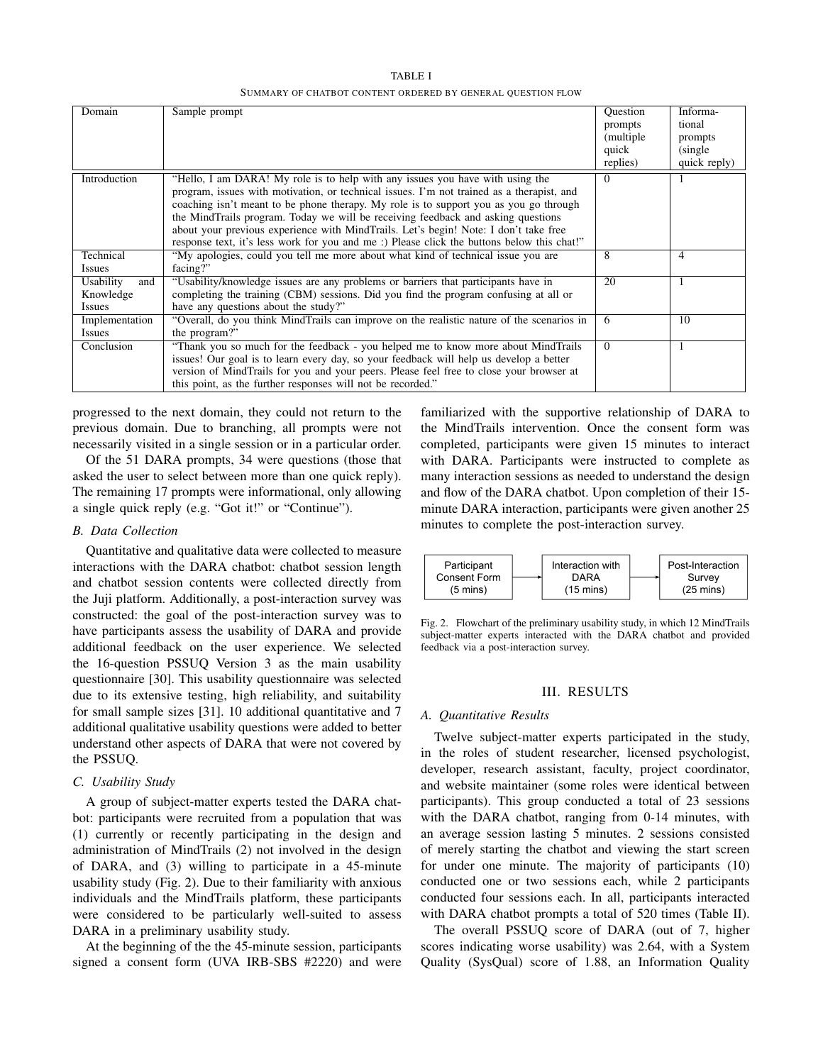TABLE I SUMMARY OF CHATBOT CONTENT ORDERED BY GENERAL QUESTION FLOW

| Domain                                         | Sample prompt                                                                                                                                                                                                                                                                                                                                                                                                                                                                                                                                | Ouestion<br>prompts<br>(multiple)<br>quick<br>replies) | Informa-<br>tional<br>prompts<br>(single)<br>quick reply) |
|------------------------------------------------|----------------------------------------------------------------------------------------------------------------------------------------------------------------------------------------------------------------------------------------------------------------------------------------------------------------------------------------------------------------------------------------------------------------------------------------------------------------------------------------------------------------------------------------------|--------------------------------------------------------|-----------------------------------------------------------|
| Introduction                                   | "Hello, I am DARA! My role is to help with any issues you have with using the<br>program, issues with motivation, or technical issues. I'm not trained as a therapist, and<br>coaching isn't meant to be phone therapy. My role is to support you as you go through<br>the MindTrails program. Today we will be receiving feedback and asking questions<br>about your previous experience with MindTrails. Let's begin! Note: I don't take free<br>response text, it's less work for you and me:) Please click the buttons below this chat!" | $\Omega$                                               |                                                           |
| Technical<br><b>Issues</b>                     | "My apologies, could you tell me more about what kind of technical issue you are<br>facing?"                                                                                                                                                                                                                                                                                                                                                                                                                                                 | 8                                                      | 4                                                         |
| Usability<br>and<br>Knowledge<br><b>Issues</b> | "Usability/knowledge issues are any problems or barriers that participants have in<br>completing the training (CBM) sessions. Did you find the program confusing at all or<br>have any questions about the study?"                                                                                                                                                                                                                                                                                                                           | 20                                                     | 1                                                         |
| Implementation<br><b>Issues</b>                | "Overall, do you think MindTrails can improve on the realistic nature of the scenarios in<br>the program?"                                                                                                                                                                                                                                                                                                                                                                                                                                   | 6                                                      | 10                                                        |
| Conclusion                                     | "Thank you so much for the feedback - you helped me to know more about MindTrails"<br>issues! Our goal is to learn every day, so your feedback will help us develop a better<br>version of MindTrails for you and your peers. Please feel free to close your browser at<br>this point, as the further responses will not be recorded."                                                                                                                                                                                                       | $\Omega$                                               |                                                           |

progressed to the next domain, they could not return to the previous domain. Due to branching, all prompts were not necessarily visited in a single session or in a particular order.

Of the 51 DARA prompts, 34 were questions (those that asked the user to select between more than one quick reply). The remaining 17 prompts were informational, only allowing a single quick reply (e.g. "Got it!" or "Continue").

# *B. Data Collection*

Quantitative and qualitative data were collected to measure interactions with the DARA chatbot: chatbot session length and chatbot session contents were collected directly from the Juji platform. Additionally, a post-interaction survey was constructed: the goal of the post-interaction survey was to have participants assess the usability of DARA and provide additional feedback on the user experience. We selected the 16-question PSSUQ Version 3 as the main usability questionnaire [30]. This usability questionnaire was selected due to its extensive testing, high reliability, and suitability for small sample sizes [31]. 10 additional quantitative and 7 additional qualitative usability questions were added to better understand other aspects of DARA that were not covered by the PSSUQ.

#### *C. Usability Study*

A group of subject-matter experts tested the DARA chatbot: participants were recruited from a population that was (1) currently or recently participating in the design and administration of MindTrails (2) not involved in the design of DARA, and (3) willing to participate in a 45-minute usability study (Fig. 2). Due to their familiarity with anxious individuals and the MindTrails platform, these participants were considered to be particularly well-suited to assess DARA in a preliminary usability study.

At the beginning of the the 45-minute session, participants signed a consent form (UVA IRB-SBS #2220) and were familiarized with the supportive relationship of DARA to the MindTrails intervention. Once the consent form was completed, participants were given 15 minutes to interact with DARA. Participants were instructed to complete as many interaction sessions as needed to understand the design and flow of the DARA chatbot. Upon completion of their 15 minute DARA interaction, participants were given another 25 minutes to complete the post-interaction survey.



Fig. 2. Flowchart of the preliminary usability study, in which 12 MindTrails subject-matter experts interacted with the DARA chatbot and provided feedback via a post-interaction survey.

#### III. RESULTS

#### *A. Quantitative Results*

Twelve subject-matter experts participated in the study, in the roles of student researcher, licensed psychologist, developer, research assistant, faculty, project coordinator, and website maintainer (some roles were identical between participants). This group conducted a total of 23 sessions with the DARA chatbot, ranging from 0-14 minutes, with an average session lasting 5 minutes. 2 sessions consisted of merely starting the chatbot and viewing the start screen for under one minute. The majority of participants (10) conducted one or two sessions each, while 2 participants conducted four sessions each. In all, participants interacted with DARA chatbot prompts a total of 520 times (Table II).

The overall PSSUQ score of DARA (out of 7, higher scores indicating worse usability) was 2.64, with a System Quality (SysQual) score of 1.88, an Information Quality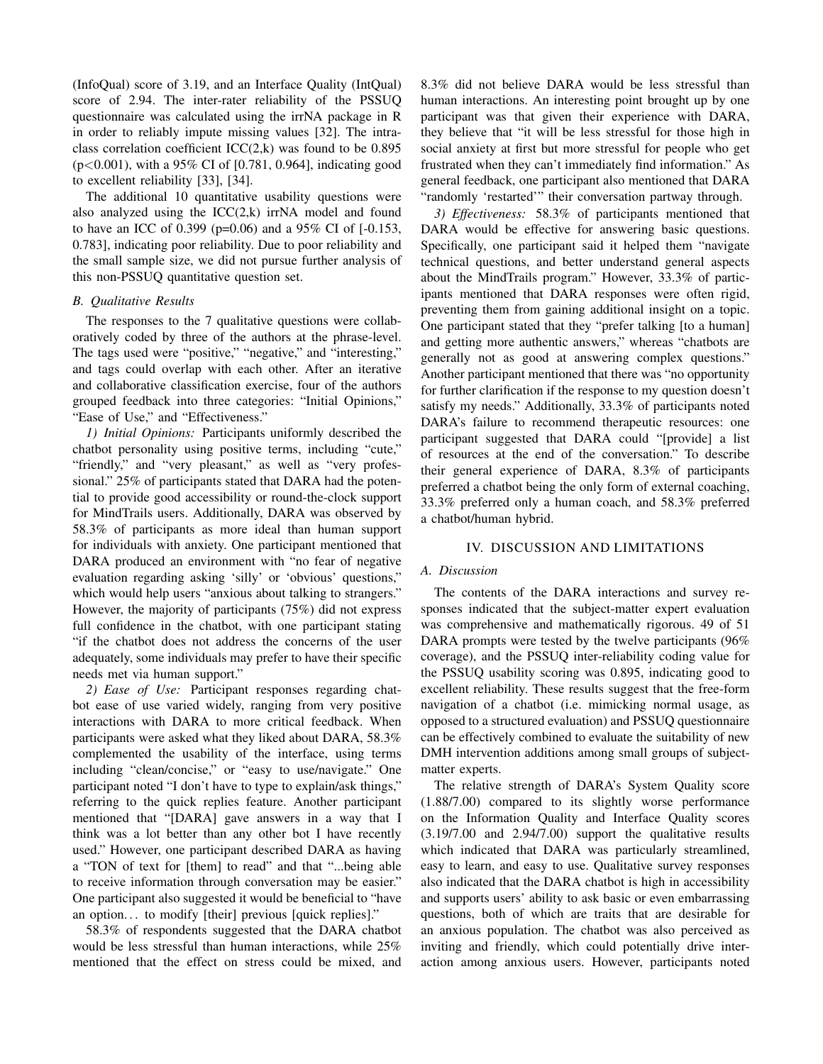(InfoQual) score of 3.19, and an Interface Quality (IntQual) score of 2.94. The inter-rater reliability of the PSSUQ questionnaire was calculated using the irrNA package in R in order to reliably impute missing values [32]. The intraclass correlation coefficient  $ICC(2,k)$  was found to be 0.895 (p<0.001), with a 95% CI of [0.781, 0.964], indicating good to excellent reliability [33], [34].

The additional 10 quantitative usability questions were also analyzed using the  $ICC(2,k)$  irrNA model and found to have an ICC of 0.399 (p=0.06) and a 95% CI of [-0.153, 0.783], indicating poor reliability. Due to poor reliability and the small sample size, we did not pursue further analysis of this non-PSSUQ quantitative question set.

# *B. Qualitative Results*

The responses to the 7 qualitative questions were collaboratively coded by three of the authors at the phrase-level. The tags used were "positive," "negative," and "interesting," and tags could overlap with each other. After an iterative and collaborative classification exercise, four of the authors grouped feedback into three categories: "Initial Opinions," "Ease of Use," and "Effectiveness."

*1) Initial Opinions:* Participants uniformly described the chatbot personality using positive terms, including "cute," "friendly," and "very pleasant," as well as "very professional." 25% of participants stated that DARA had the potential to provide good accessibility or round-the-clock support for MindTrails users. Additionally, DARA was observed by 58.3% of participants as more ideal than human support for individuals with anxiety. One participant mentioned that DARA produced an environment with "no fear of negative evaluation regarding asking 'silly' or 'obvious' questions," which would help users "anxious about talking to strangers." However, the majority of participants (75%) did not express full confidence in the chatbot, with one participant stating "if the chatbot does not address the concerns of the user adequately, some individuals may prefer to have their specific needs met via human support."

*2) Ease of Use:* Participant responses regarding chatbot ease of use varied widely, ranging from very positive interactions with DARA to more critical feedback. When participants were asked what they liked about DARA, 58.3% complemented the usability of the interface, using terms including "clean/concise," or "easy to use/navigate." One participant noted "I don't have to type to explain/ask things," referring to the quick replies feature. Another participant mentioned that "[DARA] gave answers in a way that I think was a lot better than any other bot I have recently used." However, one participant described DARA as having a "TON of text for [them] to read" and that "...being able to receive information through conversation may be easier." One participant also suggested it would be beneficial to "have an option. . . to modify [their] previous [quick replies]."

58.3% of respondents suggested that the DARA chatbot would be less stressful than human interactions, while 25% mentioned that the effect on stress could be mixed, and

8.3% did not believe DARA would be less stressful than human interactions. An interesting point brought up by one participant was that given their experience with DARA, they believe that "it will be less stressful for those high in social anxiety at first but more stressful for people who get frustrated when they can't immediately find information." As general feedback, one participant also mentioned that DARA "randomly 'restarted'" their conversation partway through.

*3) Effectiveness:* 58.3% of participants mentioned that DARA would be effective for answering basic questions. Specifically, one participant said it helped them "navigate technical questions, and better understand general aspects about the MindTrails program." However, 33.3% of participants mentioned that DARA responses were often rigid, preventing them from gaining additional insight on a topic. One participant stated that they "prefer talking [to a human] and getting more authentic answers," whereas "chatbots are generally not as good at answering complex questions." Another participant mentioned that there was "no opportunity for further clarification if the response to my question doesn't satisfy my needs." Additionally, 33.3% of participants noted DARA's failure to recommend therapeutic resources: one participant suggested that DARA could "[provide] a list of resources at the end of the conversation." To describe their general experience of DARA, 8.3% of participants preferred a chatbot being the only form of external coaching, 33.3% preferred only a human coach, and 58.3% preferred a chatbot/human hybrid.

# IV. DISCUSSION AND LIMITATIONS

#### *A. Discussion*

The contents of the DARA interactions and survey responses indicated that the subject-matter expert evaluation was comprehensive and mathematically rigorous. 49 of 51 DARA prompts were tested by the twelve participants (96% coverage), and the PSSUQ inter-reliability coding value for the PSSUQ usability scoring was 0.895, indicating good to excellent reliability. These results suggest that the free-form navigation of a chatbot (i.e. mimicking normal usage, as opposed to a structured evaluation) and PSSUQ questionnaire can be effectively combined to evaluate the suitability of new DMH intervention additions among small groups of subjectmatter experts.

The relative strength of DARA's System Quality score (1.88/7.00) compared to its slightly worse performance on the Information Quality and Interface Quality scores (3.19/7.00 and 2.94/7.00) support the qualitative results which indicated that DARA was particularly streamlined, easy to learn, and easy to use. Qualitative survey responses also indicated that the DARA chatbot is high in accessibility and supports users' ability to ask basic or even embarrassing questions, both of which are traits that are desirable for an anxious population. The chatbot was also perceived as inviting and friendly, which could potentially drive interaction among anxious users. However, participants noted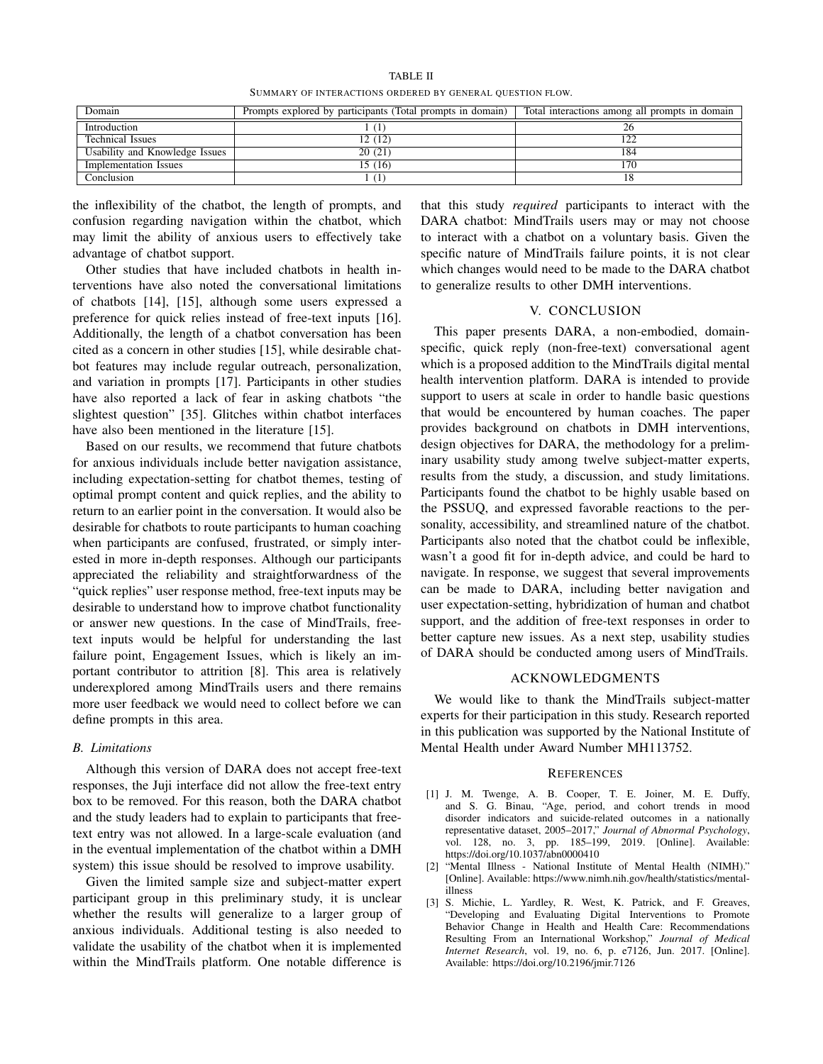TABLE II SUMMARY OF INTERACTIONS ORDERED BY GENERAL QUESTION FLOW.

| Domain                         | Prompts explored by participants (Total prompts in domain) | Total interactions among all prompts in domain |
|--------------------------------|------------------------------------------------------------|------------------------------------------------|
| Introduction                   |                                                            |                                                |
| <b>Technical Issues</b>        | 12(12)                                                     | 122                                            |
| Usability and Knowledge Issues | 20(21)                                                     | 184                                            |
| <b>Implementation Issues</b>   | 15 (16)                                                    | 170                                            |
| Conclusion                     |                                                            |                                                |

the inflexibility of the chatbot, the length of prompts, and confusion regarding navigation within the chatbot, which may limit the ability of anxious users to effectively take advantage of chatbot support.

Other studies that have included chatbots in health interventions have also noted the conversational limitations of chatbots [14], [15], although some users expressed a preference for quick relies instead of free-text inputs [16]. Additionally, the length of a chatbot conversation has been cited as a concern in other studies [15], while desirable chatbot features may include regular outreach, personalization, and variation in prompts [17]. Participants in other studies have also reported a lack of fear in asking chatbots "the slightest question" [35]. Glitches within chatbot interfaces have also been mentioned in the literature [15].

Based on our results, we recommend that future chatbots for anxious individuals include better navigation assistance, including expectation-setting for chatbot themes, testing of optimal prompt content and quick replies, and the ability to return to an earlier point in the conversation. It would also be desirable for chatbots to route participants to human coaching when participants are confused, frustrated, or simply interested in more in-depth responses. Although our participants appreciated the reliability and straightforwardness of the "quick replies" user response method, free-text inputs may be desirable to understand how to improve chatbot functionality or answer new questions. In the case of MindTrails, freetext inputs would be helpful for understanding the last failure point, Engagement Issues, which is likely an important contributor to attrition [8]. This area is relatively underexplored among MindTrails users and there remains more user feedback we would need to collect before we can define prompts in this area.

#### *B. Limitations*

Although this version of DARA does not accept free-text responses, the Juji interface did not allow the free-text entry box to be removed. For this reason, both the DARA chatbot and the study leaders had to explain to participants that freetext entry was not allowed. In a large-scale evaluation (and in the eventual implementation of the chatbot within a DMH system) this issue should be resolved to improve usability.

Given the limited sample size and subject-matter expert participant group in this preliminary study, it is unclear whether the results will generalize to a larger group of anxious individuals. Additional testing is also needed to validate the usability of the chatbot when it is implemented within the MindTrails platform. One notable difference is that this study *required* participants to interact with the DARA chatbot: MindTrails users may or may not choose to interact with a chatbot on a voluntary basis. Given the specific nature of MindTrails failure points, it is not clear which changes would need to be made to the DARA chatbot to generalize results to other DMH interventions.

# V. CONCLUSION

This paper presents DARA, a non-embodied, domainspecific, quick reply (non-free-text) conversational agent which is a proposed addition to the MindTrails digital mental health intervention platform. DARA is intended to provide support to users at scale in order to handle basic questions that would be encountered by human coaches. The paper provides background on chatbots in DMH interventions, design objectives for DARA, the methodology for a preliminary usability study among twelve subject-matter experts, results from the study, a discussion, and study limitations. Participants found the chatbot to be highly usable based on the PSSUQ, and expressed favorable reactions to the personality, accessibility, and streamlined nature of the chatbot. Participants also noted that the chatbot could be inflexible, wasn't a good fit for in-depth advice, and could be hard to navigate. In response, we suggest that several improvements can be made to DARA, including better navigation and user expectation-setting, hybridization of human and chatbot support, and the addition of free-text responses in order to better capture new issues. As a next step, usability studies of DARA should be conducted among users of MindTrails.

#### ACKNOWLEDGMENTS

We would like to thank the MindTrails subject-matter experts for their participation in this study. Research reported in this publication was supported by the National Institute of Mental Health under Award Number MH113752.

#### **REFERENCES**

- [1] J. M. Twenge, A. B. Cooper, T. E. Joiner, M. E. Duffy, and S. G. Binau, "Age, period, and cohort trends in mood disorder indicators and suicide-related outcomes in a nationally representative dataset, 2005–2017," *Journal of Abnormal Psychology*, vol. 128, no. 3, pp. 185–199, 2019. [Online]. Available: https://doi.org/10.1037/abn0000410
- [2] "Mental Illness National Institute of Mental Health (NIMH)." [Online]. Available: https://www.nimh.nih.gov/health/statistics/mentalillness
- [3] S. Michie, L. Yardley, R. West, K. Patrick, and F. Greaves, "Developing and Evaluating Digital Interventions to Promote Behavior Change in Health and Health Care: Recommendations Resulting From an International Workshop," *Journal of Medical Internet Research*, vol. 19, no. 6, p. e7126, Jun. 2017. [Online]. Available: https://doi.org/10.2196/jmir.7126